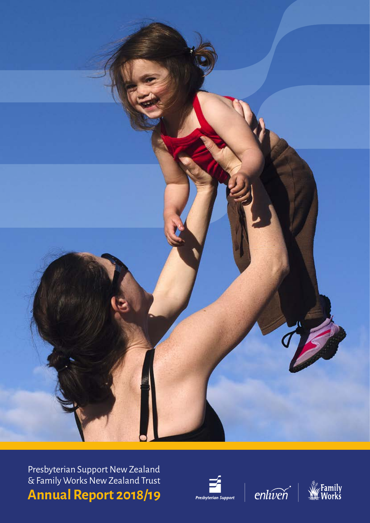

Presbyterian Support New Zealand & Family Works New Zealand Trust **Annual Report 2018/19**





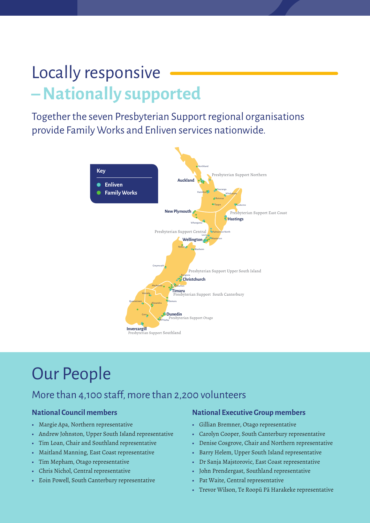# Locally responsive **– Nationally supported**

Together the seven Presbyterian Support regional organisations provide Family Works and Enliven services nationwide.



# Our People

#### <mark>o staff, more tha</mark>r More than 4,100 staff, more than 2,200 volunteers

**Family Works** provides a range of services from

#### **National Council members**

- **•** Margie Apa, Northern representative
- **•** Andrew Johnston, Upper South Island representative
- **•** Tim Loan, Chair and Southland representative
- **•** Maitland Manning, East Coast representative
- **•** Tim Mepham, Otago representative
- **•** Chris Nichol, Central representative
- **•** Eoin Powell, South Canterbury representative

#### **National Executive Group members**

**•** Gillian Bremner, Otago representative

**Enliven** provides a range of services to support older

- **•** Carolyn Cooper, South Canterbury representative
- **•** Denise Cosgrove, Chair and Northern representative
- **•** Barry Helem, Upper South Island representative
- **•** Dr Sanja Majstorovic, East Coast representative
- **•** John Prendergast, Southland representative
- **•** Pat Waite, Central representative
- **•** Trevor Wilson, Te Roopū Pā Harakeke representative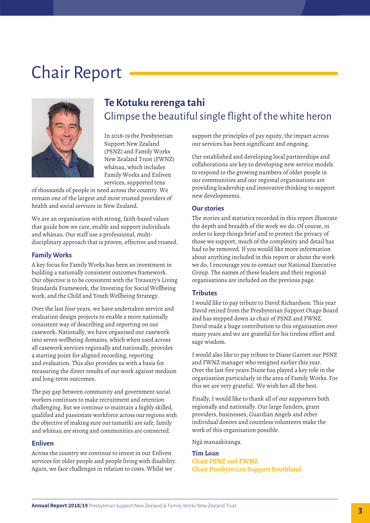# Chair Report



### **Te Kotuku rerenga tahi** Glimpse the beautiful single flight of the white heron

In 2018-19 the Presbyterian Support New Zealand (PSNZ) and Family Works New Zealand Trust (FWNZ) whānau, which includes Family Works and Enliven services, supported tens

of thousands of people in need across the country. We remain one of the largest and most trusted providers of health and social services in New Zealand.

We are an organisation with strong, faith-based values that guide how we care, enable and support individuals and whānau. Our staff use a professional, multidisciplinary approach that is proven, effective and trusted.

#### **Family Works**

A key focus for Family Works has been an investment in building a nationally consistent outcomes framework. Our objective is to be consistent with the Treasury's Living Standards Framework, the Investing for Social Wellbeing work, and the Child and Youth Wellbeing Strategy.

Over the last four years, we have undertaken service and evaluation design projects to enable a more nationally consistent way of describing and reporting on our casework. Nationally, we have organised our casework into seven wellbeing domains, which when used across all casework services regionally and nationally, provides a starting point for aligned recording, reporting and evaluation. This also provides us with a basis for measuring the direct results of our work against medium and long-term outcomes.

The pay gap between community and government social workers continues to make recruitment and retention challenging. But we continue to maintain a highly skilled, qualified and passionate workforce across our regions with the objective of making sure our tamariki are safe, family and whānau are strong and communities are connected.

#### **Enliven**

Across the country we continue to invest in our Enliven services for older people and people living with disability. Again, we face challenges in relation to costs. Whilst we

support the principles of pay equity, the impact across our services has been significant and ongoing.

Our established and developing local partnerships and collaborations are key to developing new service models to respond to the growing numbers of older people in our communities and our regional organisations are providing leadership and innovative thinking to support new developments.

#### **Our stories**

The stories and statistics recorded in this report illustrate the depth and breadth of the work we do. Of course, in order to keep things brief and to protect the privacy of those we support, much of the complexity and detail has had to be removed. If you would like more information about anything included in this report or about the work we do, I encourage you to contact our National Executive Group. The names of these leaders and their regional organisations are included on the previous page.

#### **Tributes**

I would like to pay tribute to David Richardson. This year David retired from the Presbyterian Support Otago Board and has stepped down as chair of PSNZ and FWNZ. David made a huge contribution to this organisation over many years and we are grateful for his tireless effort and sage wisdom.

I would also like to pay tribute to Diane Garrett our PSNZ and FWNZ manager who resigned earlier this year. Over the last five years Diane has played a key role in the organisation particularly in the area of Family Works. For this we are very grateful. We wish her all the best.

Finally, I would like to thank all of our supporters both regionally and nationally. Our large funders, grant providers, businesses, Guardian Angels and other individual donors and countless volunteers make the work of this organisation possible.

Ngā manaakitanga.

**Tim Loan Chair PSNZ and FWNZ Chair Presbyterian Support Southland**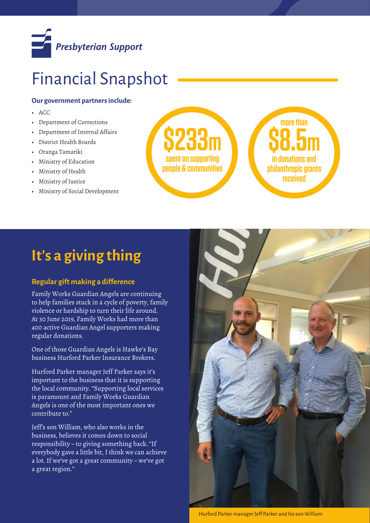

# Financial Snapshot

#### **Our government partners include:**

- **•** ACC
- **•** Department of Corrections
- **•** Department of Internal Affairs
- **•** District Health Boards
- **•** Oranga Tamariki
- **•** Ministry of Education
- **•** Ministry of Health
- **•** Ministry of Justice
- **•** Ministry of Social Development



## **It's a giving thing**

#### **Regular gift making a difference**

Family Works Guardian Angels are continuing to help families stuck in a cycle of poverty, family violence or hardship to turn their life around. At 30 June 2019, Family Works had more than 400 active Guardian Angel supporters making regular donations.

One of those Guardian Angels is Hawke's Bay business Hurford Parker Insurance Brokers.

Hurford Parker manager Jeff Parker says it's important to the business that it is supporting the local community. "Supporting local services is paramount and Family Works Guardian Angels is one of the most important ones we contribute to."

Jeff's son William, who also works in the business, believes it comes down to social responsibility – to giving something back. "If everybody gave a little bit, I think we can achieve a lot. If we've got a great community – we've got a great region."



Hurford Parker manager Jeff Parker and his son William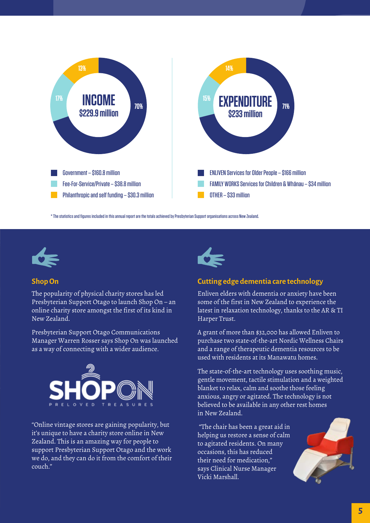

\* The statistics and figures included in this annual report are the totals achieved by Presbyterian Support organisations across New Zealand.



#### **Shop On**

The popularity of physical charity stores has led Presbyterian Support Otago to launch Shop On – an online charity store amongst the first of its kind in New Zealand.

Presbyterian Support Otago Communications Manager Warren Rosser says Shop On was launched as a way of connecting with a wider audience.



"Online vintage stores are gaining popularity, but it's unique to have a charity store online in New Zealand. This is an amazing way for people to support Presbyterian Support Otago and the work we do, and they can do it from the comfort of their couch."



#### **Cutting edge dementia care technology**

Enliven elders with dementia or anxiety have been some of the first in New Zealand to experience the latest in relaxation technology, thanks to the AR & TI Harper Trust.

A grant of more than \$32,000 has allowed Enliven to purchase two state-of-the-art Nordic Wellness Chairs and a range of therapeutic dementia resources to be used with residents at its Manawatu homes.

The state-of-the-art technology uses soothing music, gentle movement, tactile stimulation and a weighted blanket to relax, calm and soothe those feeling anxious, angry or agitated. The technology is not believed to be available in any other rest homes in New Zealand.

 "The chair has been a great aid in helping us restore a sense of calm to agitated residents. On many occasions, this has reduced their need for medication," says Clinical Nurse Manager Vicki Marshall.

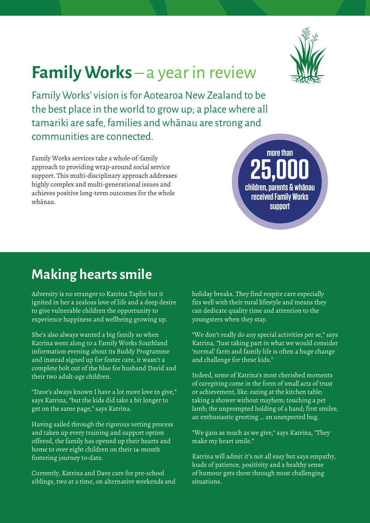

# **Family Works** – a year in review

Family Works' vision is for Aotearoa New Zealand to be the best place in the world to grow up; a place where all tamariki are safe, families and whānau are strong and communities are connected.

Family Works services take a whole-of-family approach to providing wrap-around social service support. This multi-disciplinary approach addresses highly complex and multi-generational issues and achieves positive long-term outcomes for the whole whānau.

**25,000 children, parents & whānau received Family Works support**

**more than**

## **Making hearts smile**

Adversity is no stranger to Katrina Taplin but it ignited in her a zealous love of life and a deep desire to give vulnerable children the opportunity to experience happiness and wellbeing growing up.

She's also always wanted a big family so when Katrina went along to a Family Works Southland information evening about its Buddy Programme and instead signed up for foster care, it wasn't a complete bolt out of the blue for husband David and their two adult-age children.

"Dave's always known I have a lot more love to give," says Katrina, "but the kids did take a bit longer to get on the same page," says Katrina.

Having sailed through the rigorous vetting process and taken up every training and support option offered, the family has opened up their hearts and home to over eight children on their 14-month fostering journey to-date.

Currently, Katrina and Dave care for pre-school siblings, two at a time, on alternative weekends and holiday breaks. They find respite care especially fits well with their rural lifestyle and means they can dedicate quality time and attention to the youngsters when they stay.

"We don't really do any special activities per se," says Katrina, "Just taking part in what we would consider 'normal' farm and family life is often a huge change and challenge for these kids."

Indeed, some of Katrina's most cherished moments of caregiving come in the form of small acts of trust or achievement, like: eating at the kitchen table; taking a shower without mayhem; touching a pet lamb; the unprompted holding of a hand; first smiles; an enthusiastic greeting … an unexpected hug.

"We gain as much as we give," says Katrina, "They make my heart smile."

Katrina will admit it's not all easy but says empathy, loads of patience, positivity and a healthy sense of humour gets them through most challenging situations.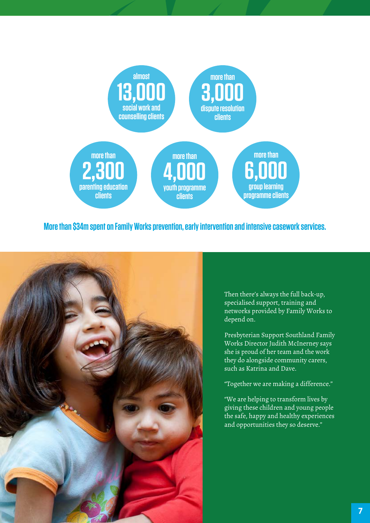

**More than \$34m spent on Family Works prevention, early intervention and intensive casework services.**



Then there's always the full back-up, specialised support, training and networks provided by Family Works to depend on.

Presbyterian Support Southland Family Works Director Judith McInerney says she is proud of her team and the work they do alongside community carers, such as Katrina and Dave.

"Together we are making a difference."

"We are helping to transform lives by giving these children and young people the safe, happy and healthy experiences and opportunities they so deserve."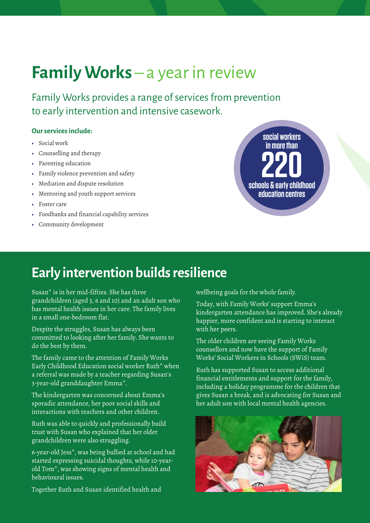# **Family Works** – a year in review

Family Works provides a range of services from prevention to early intervention and intensive casework.

#### **Our services include:**

- **•** Social work
- **•** Counselling and therapy
- **•** Parenting education
- **•** Family violence prevention and safety
- **•** Mediation and dispute resolution
- **•** Mentoring and youth support services
- **•** Foster care
- **•** Foodbanks and financial capability services
- **•** Community development



## **Early intervention builds resilience**

Susan\* is in her mid-fifties. She has three grandchildren (aged 3, 6 and 10) and an adult son who has mental health issues in her care. The family lives in a small one-bedroom flat.

Despite the struggles, Susan has always been committed to looking after her family. She wants to do the best by them.

The family came to the attention of Family Works Early Childhood Education social worker Ruth\* when a referral was made by a teacher regarding Susan's 3-year-old granddaughter Emma\*.

The kindergarten was concerned about Emma's sporadic attendance, her poor social skills and interactions with teachers and other children.

Ruth was able to quickly and professionally build trust with Susan who explained that her older grandchildren were also struggling.

6-year-old Jess\*, was being bullied at school and had started expressing suicidal thoughts, while 10-yearold Tom\*, was showing signs of mental health and behavioural issues.

Together Ruth and Susan identified health and

wellbeing goals for the whole family.

Today, with Family Works' support Emma's kindergarten attendance has improved. She's already happier, more confident and is starting to interact with her peers.

The older children are seeing Family Works counsellors and now have the support of Family Works' Social Workers in Schools (SWiS) team.

Ruth has supported Susan to access additional financial entitlements and support for the family, including a holiday programme for the children that gives Susan a break, and is advocating for Susan and her adult son with local mental health agencies.

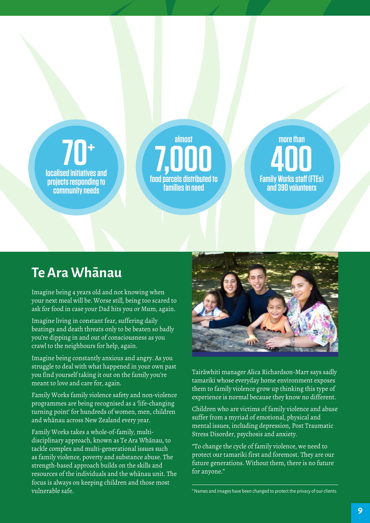# **70+**

**localised initiatives and projects responding to community needs**

**almost 7,000 food parcels distributed to families in need**

**more than 400 Family Works staff (FTEs) and 390 volunteers** 

## **Te Ara Whānau**

Imagine being 4 years old and not knowing when your next meal will be. Worse still, being too scared to ask for food in case your Dad hits you or Mum, again.

Imagine living in constant fear, suffering daily beatings and death threats only to be beaten so badly you're dipping in and out of consciousness as you crawl to the neighbours for help, again.

Imagine being constantly anxious and angry. As you struggle to deal with what happened in your own past you find yourself taking it out on the family you're meant to love and care for, again.

Family Works family violence safety and non-violence programmes are being recognised as a 'life-changing turning point' for hundreds of women, men, children and whānau across New Zealand every year.

Family Works takes a whole-of-family, multidisciplinary approach, known as Te Ara Whānau, to tackle complex and multi-generational issues such as family violence, poverty and substance abuse. The strength-based approach builds on the skills and resources of the individuals and the whānau unit. The focus is always on keeping children and those most vulnerable safe.



Tairāwhiti manager Alica Richardson-Marr says sadly tamariki whose everyday home environment exposes them to family violence grow up thinking this type of experience is normal because they know no different.

Children who are victims of family violence and abuse suffer from a myriad of emotional, physical and mental issues, including depression, Post Traumatic Stress Disorder, psychosis and anxiety.

"To change the cycle of family violence, we need to protect our tamariki first and foremost. They are our future generations. Without them, there is no future for anyone."

\* Names and images have been changed to protect the privacy of our clients.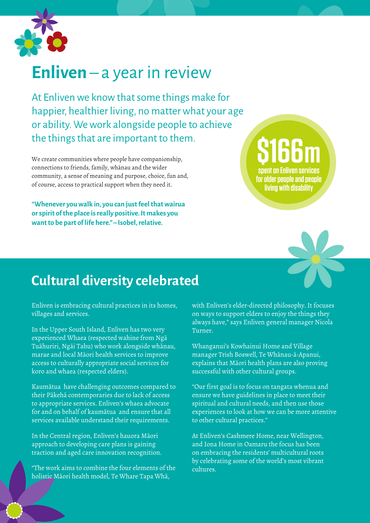

# **Enliven** – a year in review

At Enliven we know that some things make for happier, healthier living, no matter what your age or ability. We work alongside people to achieve the things that are important to them.

We create communities where people have companionship, connections to friends, family, whānau and the wider community, a sense of meaning and purpose, choice, fun and, of course, access to practical support when they need it.

**"Whenever you walk in, you can just feel that wairua or spirit of the place is really positive. It makes you want to be part of life here." – Isobel, relative.** 

**\$166 m spent on Enliven services for older people and people living with disability** 



## **Cultural diversity celebrated**

Enliven is embracing cultural practices in its homes, villages and services.

In the Upper South Island, Enliven has two very experienced Whaea (respected wahine from Ngā Tuāhuriri, Ngāi Tahu) who work alongside whānau, marae and local Māori health services to improve access to culturally appropriate social services for koro and whaea (respected elders).

Kaumātua have challenging outcomes compared to their Pākehā contemporaries due to lack of access to appropriate services. Enliven's whaea advocate for and on behalf of kaumātua and ensure that all services available understand their requirements.

In the Central region, Enliven's hauora Māori approach to developing care plans is gaining traction and aged care innovation recognition.

"The work aims to combine the four elements of the holistic Māori health model, Te Whare Tapa Whā,

with Enliven's elder-directed philosophy. It focuses on ways to support elders to enjoy the things they always have," says Enliven general manager Nicola Turner.

Whanganui's Kowhainui Home and Village manager Trish Boswell, Te Whānau-ā-Apanui, explains that Māori health plans are also proving successful with other cultural groups.

"Our first goal is to focus on tangata whenua and ensure we have guidelines in place to meet their spiritual and cultural needs, and then use those experiences to look at how we can be more attentive to other cultural practices."

At Enliven's Cashmere Home, near Wellington, and Iona Home in Oamaru the focus has been on embracing the residents' multicultural roots by celebrating some of the world's most vibrant cultures.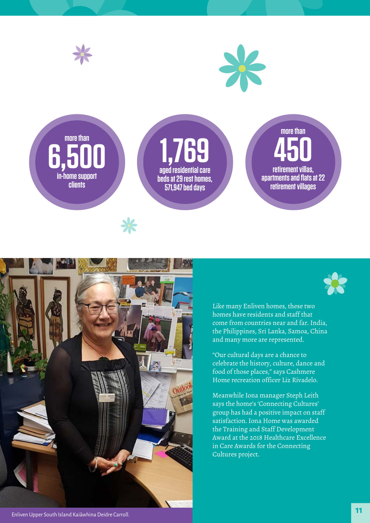



Like many Enliven homes, these two homes have residents and staff that come from countries near and far. India, the Philippines, Sri Lanka, Samoa, China and many more are represented.

"Our cultural days are a chance to celebrate the history, culture, dance and food of those places," says Cashmere Home recreation officer Liz Rivadelo.

Meanwhile Iona manager Steph Leith says the home's 'Connecting Cultures' group has had a positive impact on staff satisfaction. Iona Home was awarded the Training and Staff Development Award at the 2018 Healthcare Excellence in Care Awards for the Connecting Cultures project.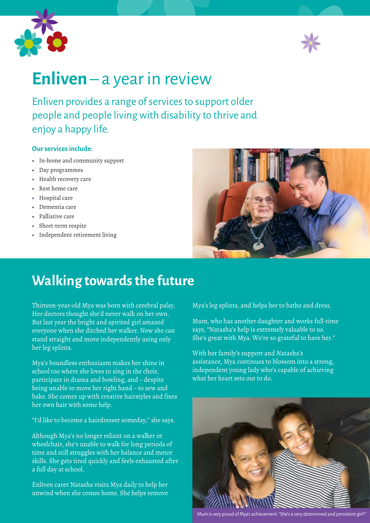



# **Enliven** – a year in review

Enliven provides a range of services to support older people and people living with disability to thrive and enjoy a happy life.

#### **Our services include:**

- **•** In-home and community support
- **•** Day programmes
- **•** Health recovery care
- **•** Rest home care
- **•** Hospital care
- **•** Dementia care
- **•** Palliative care
- **•** Short-term respite
- **•** Independent retirement living



## **Walking towards the future**

Thirteen-year-old Mya was born with cerebral palsy. Her doctors thought she'd never walk on her own. But last year the bright and spirited girl amazed everyone when she ditched her walker. Now she can stand straight and move independently using only her leg splints.

Mya's boundless enthusiasm makes her shine in school too where she loves to sing in the choir, participate in drama and bowling, and – despite being unable to move her right hand – to sew and bake. She comes up with creative hairstyles and fixes her own hair with some help.

"I'd like to become a hairdresser someday," she says.

Although Mya's no longer reliant on a walker or wheelchair, she's unable to walk for long periods of time and still struggles with her balance and motor skills. She gets tired quickly and feels exhausted after a full day at school.

Enliven carer Natasha visits Mya daily to help her unwind when she comes home. She helps remove Mya's leg splints, and helps her to bathe and dress.

Mum, who has another daughter and works full-time says, "Natasha's help is extremely valuable to us. She's great with Mya. We're so grateful to have her."

With her family's support and Natasha's assistance, Mya continues to blossom into a strong, independent young lady who's capable of achieving what her heart sets out to do.



Mum is very proud of Mya's achievement. "She's a very determined and persistent girl!"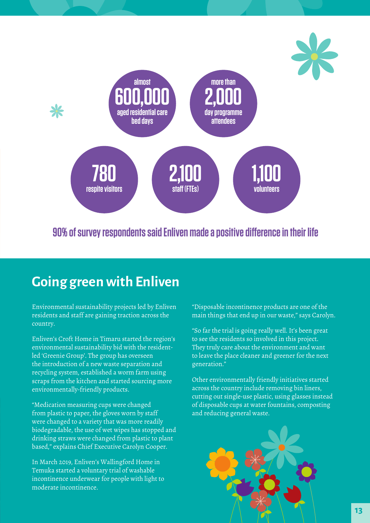

**90% of survey respondents said Enliven made a positive difference in their life**

## **Going green with Enliven**

Environmental sustainability projects led by Enliven residents and staff are gaining traction across the country.

Enliven's Croft Home in Timaru started the region's environmental sustainability bid with the residentled 'Greenie Group'. The group has overseen the introduction of a new waste separation and recycling system, established a worm farm using scraps from the kitchen and started sourcing more environmentally-friendly products.

"Medication measuring cups were changed from plastic to paper, the gloves worn by staff were changed to a variety that was more readily biodegradable, the use of wet wipes has stopped and drinking straws were changed from plastic to plant based," explains Chief Executive Carolyn Cooper.

In March 2019, Enliven's Wallingford Home in Temuka started a voluntary trial of washable incontinence underwear for people with light to moderate incontinence.

"Disposable incontinence products are one of the main things that end up in our waste," says Carolyn.

"So far the trial is going really well. It's been great to see the residents so involved in this project. They truly care about the environment and want to leave the place cleaner and greener for the next generation."

Other environmentally friendly initiatives started across the country include removing bin liners, cutting out single-use plastic, using glasses instead of disposable cups at water fountains, composting and reducing general waste.

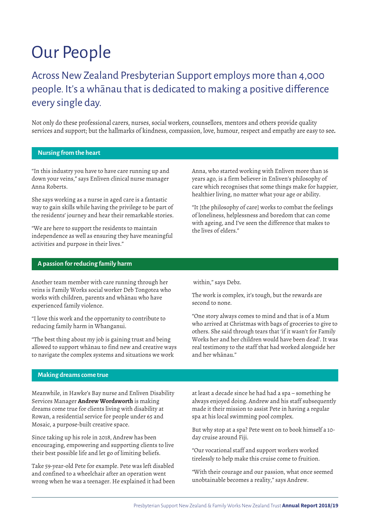# Our People

## Across New Zealand Presbyterian Support employs more than 4,000 people. It's a whānau that is dedicated to making a positive difference every single day.

Not only do these professional carers, nurses, social workers, counsellors, mentors and others provide quality services and support; but the hallmarks of kindness, compassion, love, humour, respect and empathy are easy to see**.**

#### **Nursing from the heart**

"In this industry you have to have care running up and down your veins," says Enliven clinical nurse manager Anna Roberts.

She says working as a nurse in aged care is a fantastic way to gain skills while having the privilege to be part of the residents' journey and hear their remarkable stories.

"We are here to support the residents to maintain independence as well as ensuring they have meaningful activities and purpose in their lives."

Anna, who started working with Enliven more than 16 years ago, is a firm believer in Enliven's philosophy of care which recognises that some things make for happier, healthier living, no matter what your age or ability.

"It [the philosophy of care] works to combat the feelings of loneliness, helplessness and boredom that can come with ageing, and I've seen the difference that makes to the lives of elders."

#### **A passion for reducing family harm**

Another team member with care running through her veins is Family Works social worker Deb Tongotea who works with children, parents and whānau who have experienced family violence.

"I love this work and the opportunity to contribute to reducing family harm in Whanganui.

"The best thing about my job is gaining trust and being allowed to support whānau to find new and creative ways to navigate the complex systems and situations we work

within," says Debz.

The work is complex, it's tough, but the rewards are second to none.

"One story always comes to mind and that is of a Mum who arrived at Christmas with bags of groceries to give to others. She said through tears that 'if it wasn't for Family Works her and her children would have been dead'. It was real testimony to the staff that had worked alongside her and her whānau."

#### **Making dreams come true**

Meanwhile, in Hawke's Bay nurse and Enliven Disability Services Manager **Andrew Wordsworth** is making dreams come true for clients living with disability at Rowan, a residential service for people under 65 and Mosaic, a purpose-built creative space.

Since taking up his role in 2018, Andrew has been encouraging, empowering and supporting clients to live their best possible life and let go of limiting beliefs.

Take 59-year-old Pete for example. Pete was left disabled and confined to a wheelchair after an operation went wrong when he was a teenager. He explained it had been at least a decade since he had had a spa – something he always enjoyed doing. Andrew and his staff subsequently made it their mission to assist Pete in having a regular spa at his local swimming pool complex.

But why stop at a spa? Pete went on to book himself a 10 day cruise around Fiji.

"Our vocational staff and support workers worked tirelessly to help make this cruise come to fruition.

"With their courage and our passion, what once seemed unobtainable becomes a reality," says Andrew.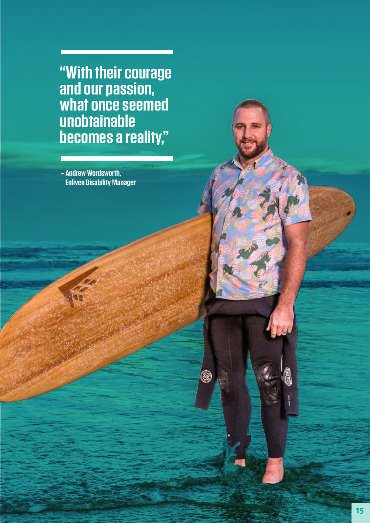**"With their courage and our passion, what once seemed unobtainable becomes a reality,"**

**Annual Report 2018/19** Presbyterian Support New Zealand & Family Works New Zealand Trust

ම

**– Andrew Wordsworth, Enliven Disability Manager**